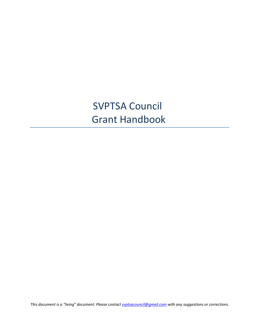# SVPTSA Council Grant Handbook

*This document is a "living" document. Please contac[t svptsacouncil@gmail.com](mailto:svptsacouncil@gmail.com) with any suggestions or corrections.*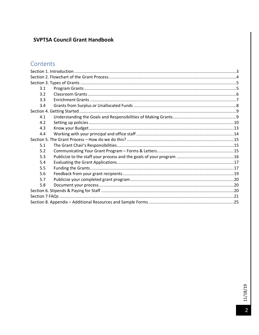## **SVPTSA Council Grant Handbook**

## Contents

| 3.1 |  |
|-----|--|
| 3.2 |  |
| 3.3 |  |
| 3.4 |  |
|     |  |
| 4.1 |  |
| 4.2 |  |
| 4.3 |  |
| 4.4 |  |
|     |  |
| 5.1 |  |
| 5.2 |  |
| 5.3 |  |
| 5.4 |  |
| 5.5 |  |
| 5.6 |  |
| 5.7 |  |
| 5.8 |  |
|     |  |
|     |  |
|     |  |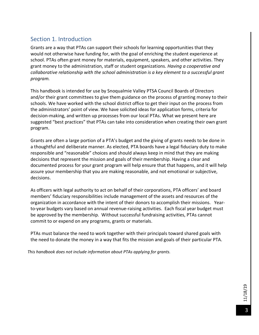## <span id="page-2-0"></span>Section 1. Introduction

Grants are a way that PTAs can support their schools for learning opportunities that they would not otherwise have funding for, with the goal of enriching the student experience at school. PTAs often grant money for materials, equipment, speakers, and other activities. They grant money to the administration, staff or student organizations. *Having a cooperative and collaborative relationship with the school administration is a key element to a successful grant program.*

This handbook is intended for use by Snoqualmie Valley PTSA Council Boards of Directors and/or their grant committees to give them guidance on the process of granting money to their schools. We have worked with the school district office to get their input on the process from the administrators' point of view. We have solicited ideas for application forms, criteria for decision-making, and written up processes from our local PTAs. What we present here are suggested "best practices" that PTAs can take into consideration when creating their own grant program.

Grants are often a large portion of a PTA's budget and the giving of grants needs to be done in a thoughtful and deliberate manner. As elected, PTA boards have a legal fiduciary duty to make responsible and "reasonable" choices and should always keep in mind that they are making decisions that represent the mission and goals of their membership. Having a clear and documented process for your grant program will help ensure that that happens, and it will help assure your membership that you are making reasonable, and not emotional or subjective, decisions.

As officers with legal authority to act on behalf of their corporations, PTA officers' and board members' fiduciary responsibilities include management of the assets and resources of the organization in accordance with the intent of their donors to accomplish their missions. Yearto-year budgets vary based on annual revenue-raising activities. Each fiscal year budget must be approved by the membership. Without successful fundraising activities, PTAs cannot commit to or expend on any programs, grants or materials.

PTAs must balance the need to work together with their principals toward shared goals with the need to donate the money in a way that fits the mission and goals of their particular PTA.

*This handbook does not include information about PTAs applying for grants.*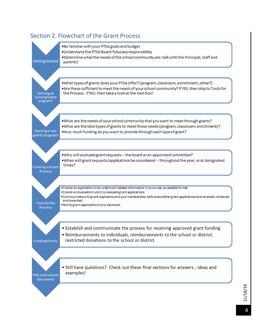

## <span id="page-3-0"></span>Section 2. Flowchart of the Grant Process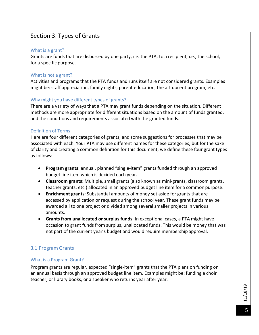## <span id="page-4-0"></span>Section 3. Types of Grants

#### What is a grant?

Grants are funds that are disbursed by one party, i.e. the PTA, to a recipient, i.e., the school, for a specific purpose.

#### What is not a grant?

Activities and programs that the PTA funds and runs itself are not considered grants. Examples might be: staff appreciation, family nights, parent education, the art docent program, etc.

#### Why might you have different types of grants?

There are a variety of ways that a PTA may grant funds depending on the situation. Different methods are more appropriate for different situations based on the amount of funds granted, and the conditions and requirements associated with the granted funds.

#### Definition of Terms

Here are four different categories of grants, and some suggestions for processes that may be associated with each. Your PTA may use different names for these categories, but for the sake of clarity and creating a common definition for this document, we define these four grant types as follows:

- **Program grants**: annual, planned "single-item" grants funded through an approved budget line item which is decided each year.
- **Classroom grants**: Multiple, small grants (also known as mini-grants, classroom grants, teacher grants, etc.) allocated in an approved budget line item for a common purpose.
- **Enrichment grants**: Substantial amounts of money set aside for grants that are accessed by application or request during the school year. These grant funds may be awarded all to one project or divided among several smaller projects in various amounts.
- **Grants from unallocated or surplus funds**: In exceptional cases, a PTA might have occasion to grant funds from surplus, unallocated funds. This would be money that was not part of the current year's budget and would require membership approval.

#### <span id="page-4-1"></span>3.1 Program Grants

#### What is a Program Grant?

Program grants are regular, expected "single-item" grants that the PTA plans on funding on an annual basis through an approved budget line item. Examples might be: funding a choir teacher, or library books, or a speaker who returns year after year.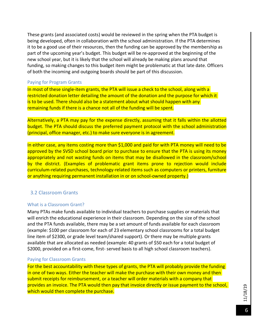These grants (and associated costs) would be reviewed in the spring when the PTA budget is being developed, often in collaboration with the school administration. If the PTA determines it to be a good use of their resources, then the funding can be approved by the membership as part of the upcoming year's budget. This budget will be re-approved at the beginning of the new school year, but it is likely that the school will already be making plans around that funding, so making changes to this budget item might be problematic at that late date. Officers of both the incoming and outgoing boards should be part of this discussion.

#### Paying for Program Grants

In most of these single-item grants, the PTA will issue a check to the school, along with a restricted donation letter detailing the amount of the donation and the purpose for which it is to be used. There should also be a statement about what should happen with any remaining funds if there is a chance not all of the funding will be spent.

Alternatively, a PTA may pay for the expense directly, assuming that it falls within the allotted budget. The PTA should discuss the preferred payment protocol with the school administration (principal, office manager, etc.) to make sure everyone is in agreement.

In either case, any items costing more than \$1,000 and paid for with PTA money will need to be approved by the SVSD school board prior to purchase to ensure that the PTA is using its money appropriately and not wasting funds on items that may be disallowed in the classroom/school by the district. (Examples of problematic grant items prone to rejection would include curriculum-related purchases, technology-related items such as computers or printers, furniture or anything requiring permanent installation in or on school-owned property.)

#### <span id="page-5-0"></span>3.2 Classroom Grants

#### What is a Classroom Grant?

Many PTAs make funds available to individual teachers to purchase supplies or materials that will enrich the educational experience in their classroom. Depending on the size of the school and the PTA funds available, there may be a set amount of funds available for each classroom (example: \$100 per classroom for each of 23 elementary school classrooms for a total budget line item of \$2300, or grade level team/shared support). Or there may be multiple grants available that are allocated as needed (example: 40 grants of \$50 each for a total budget of \$2000, provided on a first-come, first- served basis to all high school classroom teachers).

#### Paying for Classroom Grants

For the best accountability with these types of grants, the PTA will probably provide the funding in one of two ways. Either the teacher will make the purchase with their own money and then submit receipts for reimbursement, or a teacher will order materials with a company that provides an invoice. The PTA would then pay that invoice directly or issue payment to the school, which would then complete the purchase.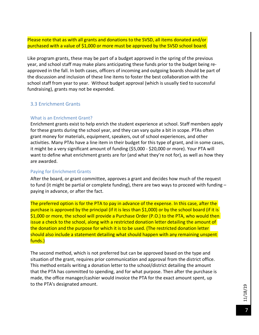Please note that as with all grants and donations to the SVSD, all items donated and/or purchased with a value of \$1,000 or more must be approved by the SVSD school board.

Like program grants, these may be part of a budget approved in the spring of the previous year, and school staff may make plans anticipating these funds prior to the budget being reapproved in the fall. In both cases, officers of incoming and outgoing boards should be part of the discussion and inclusion of these line items to foster the best collaboration with the school staff from year to year. Without budget approval (which is usually tied to successful fundraising), grants may not be expended.

#### <span id="page-6-0"></span>3.3 Enrichment Grants

#### What is an Enrichment Grant?

Enrichment grants exist to help enrich the student experience at school. Staff members apply for these grants during the school year, and they can vary quite a bit in scope. PTAs often grant money for materials, equipment, speakers, out of school experiences, and other activities. Many PTAs have a line item in their budget for this type of grant, and in some cases, it might be a very significant amount of funding (\$5,000 - \$20,000 or more). Your PTA will want to define what enrichment grants are for (and what they're not for), as well as how they are awarded.

#### Paying for Enrichment Grants

After the board, or grant committee, approves a grant and decides how much of the request to fund (it might be partial or complete funding), there are two ways to proceed with funding – paying in advance, or after the fact.

The preferred option is for the PTA to pay in advance of the expense. In this case, after the purchase is approved by the principal (if it is less than \$1,000) or by the school board (if it is \$1,000 or more, the school will provide a Purchase Order (P.O.) to the PTA, who would then issue a check to the school, along with a restricted donation letter detailing the amount of the donation and the purpose for which it is to be used. (The restricted donation letter should also include a statement detailing what should happen with any remaining unspent funds.)

The second method, which is not preferred but can be approved based on the type and situation of the grant, requires prior communication and approval from the district office. This method entails writing a donation letter to the school/district detailing the amount that the PTA has committed to spending, and for what purpose. Then after the purchase is made, the office manager/cashier would invoice the PTA for the exact amount spent, up to the PTA's designated amount.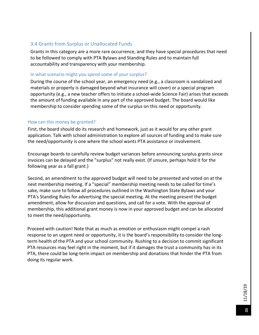#### <span id="page-7-0"></span>3.4 Grants from Surplus or Unallocated Funds

Grants in this category are a more rare occurrence, and they have special procedures that need to be followed to comply with PTA Bylaws and Standing Rules and to maintain full accountability and transparency with your membership.

#### In what scenario might you spend some of your surplus?

During the course of the school year, an emergency need (e.g., a classroom is vandalized and materials or property is damaged beyond what insurance will cover) or a special program opportunity (e.g., a new teacher offers to initiate a school-wide Science Fair) arises that exceeds the amount of funding available in any part of the approved budget. The board would like membership to consider spending some of the surplus on this need or opportunity.

#### How can this money be granted?

First, the board should do its research and homework, just as it would for any other grant application. Talk with school administration to explore all sources of funding and to make sure the need/opportunity is one where the school wants PTA assistance or involvement.

Encourage boards to carefully review budget variances before announcing surplus grants since invoices can be delayed and the "surplus" not really exist. (If unsure, perhaps hold it for the following year as a fall grant.)

Second, an amendment to the approved budget will need to be presented and voted on at the next membership meeting. If a "special" membership meeting needs to be called for time's sake, make sure to follow all procedures outlined in the Washington State Bylaws and your PTA's Standing Rules for advertising the special meeting. At the meeting present the budget amendment, allow for discussion and questions, and call for a vote. With the approval of membership, this additional grant money is now in your approved budget and can be allocated to meet the need/opportunity.

Proceed with caution! Note that as much as emotion or enthusiasm might compel a rash response to an urgent need or opportunity, it is the board's responsibility to consider the longterm health of the PTA and your school community. Rushing to a decision to commit significant PTA resources may feel right in the moment, but if it damages the trust a community has in its PTA, there could be long-term impact on membership and donations that hinder the PTA from doing its regular work.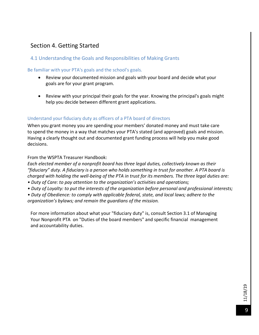## <span id="page-8-0"></span>Section 4. Getting Started

#### <span id="page-8-1"></span>4.1 Understanding the Goals and Responsibilities of Making Grants

#### Be familiar with your PTA's goals and the school's goals.

- Review your documented mission and goals with your board and decide what your goals are for your grant program.
- Review with your principal their goals for the year. Knowing the principal's goals might help you decide between different grant applications.

#### Understand your fiduciary duty as officers of a PTA board of directors

When you grant money you are spending your members' donated money and must take care to spend the money in a way that matches your PTA's stated (and approved) goals and mission. Having a clearly thought out and documented grant funding process will help you make good decisions.

From the WSPTA Treasurer Handbook:

*Each elected member of a nonprofit board has three legal duties, collectively known as their "fiduciary" duty. A fiduciary is a person who holds something in trust for another. A PTA board is charged with holding the well-being of the PTA in trust for its members. The three legal duties are:* 

- *Duty of Care: to pay attention to the organization's activities and operations;*
- *Duty of Loyalty: to put the interests of the organization before personal and professional interests;*

*• Duty of Obedience: to comply with applicable federal, state, and local laws; adhere to the organization's bylaws; and remain the guardians of the mission.*

For more information about what your "fiduciary duty" is, consult Section 3.1 of Managing Your Nonprofit PTA on "Duties of the board members" and specific financial management and accountability duties.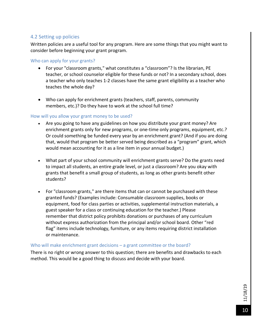#### <span id="page-9-0"></span>4.2 Setting up policies

Written policies are a useful tool for any program. Here are some things that you might want to consider before beginning your grant program.

#### Who can apply for your grants?

- For your "classroom grants," what constitutes a "classroom"? Is the librarian, PE teacher, or school counselor eligible for these funds or not? In a secondary school, does a teacher who only teaches 1-2 classes have the same grant eligibility as a teacher who teaches the whole day?
- Who can apply for enrichment grants (teachers, staff, parents, community members, etc.)? Do they have to work at the school full time?

#### How will you allow your grant money to be used?

- Are you going to have any guidelines on how you distribute your grant money? Are enrichment grants only for new programs, or one-time only programs, equipment, etc.? Or could something be funded every year by an enrichment grant? (And if you are doing that, would that program be better served being described as a "program" grant, which would mean accounting for it as a line item in your annual budget.)
- What part of your school community will enrichment grants serve? Do the grants need to impact all students, an entire grade level, or just a classroom? Are you okay with grants that benefit a small group of students, as long as other grants benefit other students?
- For "classroom grants," are there items that can or cannot be purchased with these granted funds? (Examples include: Consumable classroom supplies, books or equipment, food for class parties or activities, supplemental instruction materials, a guest speaker for a class or continuing education for the teacher.) Please remember that district policy prohibits donations or purchases of any curriculum without express authorization from the principal and/or school board. Other "red flag" items include technology, furniture, or any items requiring district installation or maintenance.

#### Who will make enrichment grant decisions – a grant committee or the board?

There is no right or wrong answer to this question; there are benefits and drawbacks to each method. This would be a good thing to discuss and decide with your board.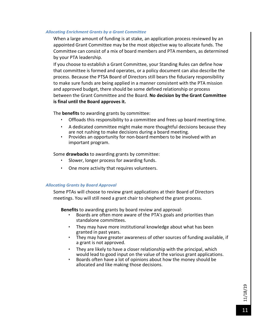#### *Allocating Enrichment Grants by a Grant Committee*

When a large amount of funding is at stake, an application process reviewed by an appointed Grant Committee may be the most objective way to allocate funds. The Committee can consist of a mix of board members and PTA members, as determined by your PTA leadership.

If you choose to establish a Grant Committee, your Standing Rules can define how that committee is formed and operates, or a policy document can also describe the process. Because the PTSA Board of Directors still bears the fiduciary responsibility to make sure funds are being applied in a manner consistent with the PTA mission and approved budget, there should be some defined relationship or process between the Grant Committee and the Board. **No decision by the Grant Committee is final until the Board approves it.**

The **benefits** to awarding grants by committee:

- Offloads this responsibility to a committee and frees up board meeting time.
- A dedicated committee might make more thoughtful decisions because they are not rushing to make decisions during a board meeting.
- Provides an opportunity for non-board members to be involved with an important program.

Some **drawbacks** to awarding grants by committee:

- Slower, longer process for awarding funds.
- One more activity that requires volunteers.

#### *Allocating Grants by Board Approval*

Some PTAs will choose to review grant applications at their Board of Directors meetings. You will still need a grant chair to shepherd the grant process.

**Benefits** to awarding grants by board review and approval:

- Boards are often more aware of the PTA's goals and priorities than standalone committees.
- They may have more institutional knowledge about what has been granted in past years.
- They may have greater awareness of other sources of funding available, if a grant is not approved.
- They are likely to have a closer relationship with the principal, which would lead to good input on the value of the various grant applications.
- Boards often have a lot of opinions about how the money should be allocated and like making those decisions.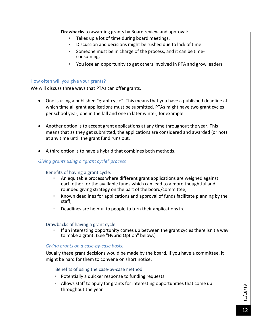**Drawbacks** to awarding grants by Board review and approval:

- Takes up a lot of time during board meetings.
- Discussion and decisions might be rushed due to lack of time.
- Someone must be in charge of the process, and it can be timeconsuming.
- You lose an opportunity to get others involved in PTA and grow leaders

#### How often will you give your grants?

We will discuss three ways that PTAs can offer grants.

- One is using a published "grant cycle". This means that you have a published deadline at which time all grant applications must be submitted. PTAs might have two grant cycles per school year, one in the fall and one in later winter, for example.
- Another option is to accept grant applications at any time throughout the year. This means that as they get submitted, the applications are considered and awarded (or not) at any time until the grant fund runs out.
- A third option is to have a hybrid that combines both methods.

#### *Giving grants using a "grant cycle" process*

#### Benefits of having a grant cycle:

- An equitable process where different grant applications are weighed against each other for the available funds which can lead to a more thoughtful and rounded giving strategy on the part of the board/committee;
- Known deadlines for applications and approval of funds facilitate planning by the staff;
- Deadlines are helpful to people to turn their applications in.

#### Drawbacks of having a grant cycle

▪ If an interesting opportunity comes up between the grant cycles there isn't a way to make a grant. (See "Hybrid Option" below.)

#### *Giving grants on a case-by-case basis:*

Usually these grant decisions would be made by the board. If you have a committee, it might be hard for them to convene on short notice.

#### Benefits of using the case-by-case method

- Potentially a quicker response to funding requests
- Allows staff to apply for grants for interesting opportunities that come up throughout the year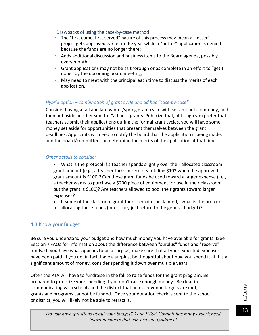#### Drawbacks of using the case-by-case method

- The "first come, first served" nature of this process may mean a "lesser" project gets approved earlier in the year while a "better" application is denied because the funds are no longer there;
- **EXTEDS 1** Adds additional discussion and business items to the Board agenda, possibly every month;
- **Grant applications may not be as thorough or as complete in an effort to "get it** done" by the upcoming board meeting;
- May need to meet with the principal each time to discuss the merits of each application.

#### *Hybrid option – combination of grant cycle and ad hoc "case-by-case"*

Consider having a fall and late winter/spring grant cycle with set amounts of money, and then put aside another sum for "ad hoc" grants. Publicize that, although you prefer that teachers submit their applications during the formal grant cycles, you will have some money set aside for opportunities that present themselves between the grant deadlines. Applicants will need to notify the board that the application is being made, and the board/committee can determine the merits of the application at that time.

#### *Other details to consider*

- What is the protocol if a teacher spends slightly over their allocated classroom grant amount (e.g., a teacher turns in receipts totaling \$103 when the approved grant amount is \$100)? Can these grant funds be used toward a larger expense (i.e., a teacher wants to purchase a \$200 piece of equipment for use in their classroom, but the grant is \$100)? Are teachers allowed to pool their grants toward larger expenses?
- If some of the classroom grant funds remain "unclaimed," what is the protocol for allocating those funds (or do they just return to the general budget)?

#### <span id="page-12-0"></span>4.3 Know your Budget

Be sure you understand your budget and how much money you have available for grants. (See Section 7 FAQs for information about the difference between "surplus" funds and "reserve" funds.) If you have what appears to be a surplus, make sure that all your expected expenses have been paid. If you do, in fact, have a surplus, be thoughtful about how you spend it. If it is a significant amount of money, consider spending it down over multiple years.

Often the PTA will have to fundraise in the fall to raise funds for the grant program. Be prepared to prioritize your spending if you don't raise enough money. Be clear in communicating with schools and the district that unless revenue targets are met, grants and programs cannot be funded. Once your donation check is sent to the school or district, you will likely not be able to retract it.

*Do you have questions about your budget? Your PTSA Council has many experienced board members that can provide guidance!*

13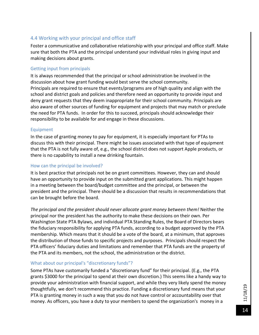#### <span id="page-13-0"></span>4.4 Working with your principal and office staff

Foster a communicative and collaborative relationship with your principal and office staff. Make sure that both the PTA and the principal understand your individual roles in giving input and making decisions about grants.

#### Getting input from principals

It is always recommended that the principal or school administration be involved in the discussion about how grant funding would best serve the school community. Principals are required to ensure that events/programs are of high quality and align with the school and district goals and policies and therefore need an opportunity to provide input and deny grant requests that they deem inappropriate for their school community. Principals are also aware of other sources of funding for equipment and projects that may match or preclude the need for PTA funds. In order for this to succeed, principals should acknowledge their responsibility to be available for and engage in these discussions.

#### Equipment

In the case of granting money to pay for equipment, it is especially important for PTAs to discuss this with their principal. There might be issues associated with that type of equipment that the PTA is not fully aware of, e.g., the school district does not support Apple products, or there is no capability to install a new drinking fountain.

#### How can the principal be involved?

It is best practice that principals not be on grant committees. However, they can and should have an opportunity to provide input on the submitted grant applications. This might happen in a meeting between the board/budget committee and the principal, or between the president and the principal. There should be a discussion that results in recommendations that can be brought before the board.

*The principal and the president should never allocate grant money between them!* Neither the principal nor the president has the authority to make these decisions on their own. Per Washington State PTA Bylaws, and individual PTA Standing Rules, the Board of Directors bears the fiduciary responsibility for applying PTA funds, according to a budget approved by the PTA membership. Which means that it should be a vote of the board, at a minimum, that approves the distribution of those funds to specific projects and purposes. Principals should respect the PTA officers' fiduciary duties and limitations and remember that PTA funds are the property of the PTA and its members, not the school, the administration or the district.

#### What about our principal's "discretionary funds"?

Some PTAs have customarily funded a "discretionary fund" for their principal. (E.g., the PTA grants \$3000 for the principal to spend at their own discretion.) This seems like a handy way to provide your administration with financial support, and while they very likely spend the money thoughtfully, we don't recommend this practice. Funding a discretionary fund means that your PTA is granting money in such a way that you do not have control or accountability over that money. As officers, you have a duty to your members to spend the organization's money in a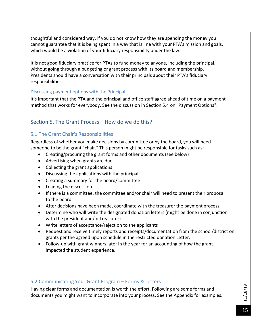thoughtful and considered way. If you do not know how they are spending the money you cannot guarantee that it is being spent in a way that is line with your PTA's mission and goals, which would be a violation of your fiduciary responsibility under the law.

It is not good fiduciary practice for PTAs to fund money to anyone, including the principal, without going through a budgeting or grant process with its board and membership. Presidents should have a conversation with their principals about their PTA's fiduciary responsibilities.

#### Discussing payment options with the Principal

It's important that the PTA and the principal and office staff agree ahead of time on a payment method that works for everybody. See the discussion in Section 5.4 on "Payment Options".

### <span id="page-14-0"></span>Section 5. The Grant Process – How do we do this?

#### <span id="page-14-1"></span>5.1 The Grant Chair's Responsibilities

Regardless of whether you make decisions by committee or by the board, you will need someone to be the grant "chair." This person might be responsible for tasks such as:

- Creating/procuring the grant forms and other documents (see below)
- Advertising when grants are due
- Collecting the grant applications
- Discussing the applications with the principal
- Creating a summary for the board/committee
- Leading the discussion
- If there is a committee, the committee and/or chair will need to present their proposal to the board
- After decisions have been made, coordinate with the treasurer the payment process
- Determine who will write the designated donation letters (might be done in conjunction with the president and/or treasurer)
- Write letters of acceptance/rejection to the applicants
- Request and receive timely reports and receipts/documentation from the school/district on grants per the agreed upon schedule in the restricted donation Letter.
- Follow-up with grant winners later in the year for an accounting of how the grant impacted the student experience.

#### <span id="page-14-2"></span>5.2 Communicating Your Grant Program – Forms & Letters

Having clear forms and documentation is worth the effort. Following are some forms and documents you might want to incorporate into your process. See the Appendix for examples.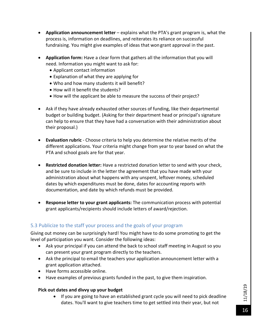- **Application announcement letter**  explains what the PTA's grant program is, what the process is, information on deadlines, and reiterates its reliance on successful fundraising. You might give examples of ideas that won grant approval in the past.
- **Application form:** Have a clear form that gathers all the information that you will need. Information you might want to ask for:
	- Applicant contact information
	- Explanation of what they are applying for
	- Who and how many students it will benefit?
	- How will it benefit the students?
	- How will the applicant be able to measure the success of their project?
- Ask if they have already exhausted other sources of funding, like their departmental budget or building budget. (Asking for their department head or principal's signature can help to ensure that they have had a conversation with their administration about their proposal.)
- **Evaluation rubric**  Choose criteria to help you determine the relative merits of the different applications. Your criteria might change from year to year based on what the PTA and school goals are for that year.
- **Restricted donation letter:** Have a restricted donation letter to send with your check, and be sure to include in the letter the agreement that you have made with your administration about what happens with any unspent, leftover money, scheduled dates by which expenditures must be done, dates for accounting reports with documentation, and date by which refunds must be provided.
- **Response letter to your grant applicants:** The communication process with potential grant applicants/recipients should include letters of award/rejection.

## <span id="page-15-0"></span>5.3 Publicize to the staff your process and the goals of your program

Giving out money can be surprisingly hard! You might have to do some promoting to get the level of participation you want. Consider the following ideas:

- Ask your principal if you can attend the back to school staff meeting in August so you can present your grant program directly to the teachers.
- Ask the principal to email the teachers your application announcement letter with a grant application attached.
- Have forms accessible online.
- Have examples of previous grants funded in the past, to give them inspiration.

#### **Pick out dates and divvy up your budget**

• If you are going to have an established grant cycle you will need to pick deadline dates. You'll want to give teachers time to get settled into their year, but not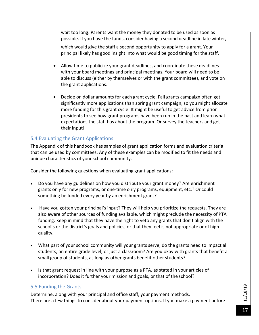wait too long. Parents want the money they donated to be used as soon as possible. If you have the funds, consider having a second deadline in late winter,

which would give the staff a second opportunity to apply for a grant. Your principal likely has good insight into what would be good timing for the staff.

- Allow time to publicize your grant deadlines, and coordinate these deadlines with your board meetings and principal meetings. Your board will need to be able to discuss (either by themselves or with the grant committee), and vote on the grant applications.
- Decide on dollar amounts for each grant cycle. Fall grants campaign often get significantly more applications than spring grant campaign, so you might allocate more funding for this grant cycle. It might be useful to get advice from prior presidents to see how grant programs have been run in the past and learn what expectations the staff has about the program. Or survey the teachers and get their input!

### <span id="page-16-0"></span>5.4 Evaluating the Grant Applications

The Appendix of this handbook has samples of grant application forms and evaluation criteria that can be used by committees. Any of these examples can be modified to fit the needs and unique characteristics of your school community.

Consider the following questions when evaluating grant applications:

- Do you have any guidelines on how you distribute your grant money? Are enrichment grants only for new programs, or one-time only programs, equipment, etc.? Or could something be funded every year by an enrichment grant?
- Have you gotten your principal's input? They will help you prioritize the requests. They are also aware of other sources of funding available, which might preclude the necessity of PTA funding. Keep in mind that they have the right to veto any grants that don't align with the school's or the district's goals and policies, or that they feel is not appropriate or of high quality.
- What part of your school community will your grants serve; do the grants need to impact all students, an entire grade level, or just a classroom? Are you okay with grants that benefit a small group of students, as long as other grants benefit other students?
- Is that grant request in line with your purpose as a PTA, as stated in your articles of incorporation? Does it further your mission and goals, or that of the school?

#### <span id="page-16-1"></span>5.5 Funding the Grants

Determine, along with your principal and office staff, your payment methods. There are a few things to consider about your payment options. If you make a payment before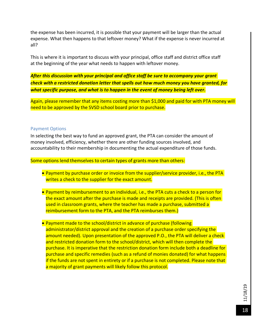the expense has been incurred, it is possible that your payment will be larger than the actual expense. What then happens to that leftover money? What if the expense is never incurred at all?

This is where it is important to discuss with your principal, office staff and district office staff at the beginning of the year what needs to happen with leftover money.

*After this discussion with your principal and office staff be sure to accompany your grant check with a restricted donation letter that spells out how much money you have granted, for what specific purpose, and what is to happen in the event of money being left over.*

Again, please remember that any items costing more than \$1,000 and paid for with PTA money will need to be approved by the SVSD school board prior to purchase.

#### Payment Options

In selecting the best way to fund an approved grant, the PTA can consider the amount of money involved, efficiency, whether there are other funding sources involved, and accountability to their membership in documenting the actual expenditure of those funds.

Some options lend themselves to certain types of grants more than others:

- Payment by purchase order or invoice from the supplier/service provider, i.e., the PTA writes a check to the supplier for the exact amount.
- Payment by reimbursement to an individual, i.e., the PTA cuts a check to a person for the exact amount after the purchase is made and receipts are provided. (This is often used in classroom grants, where the teacher has made a purchase, submitted a reimbursement form to the PTA, and the PTA reimburses them.)
- Payment made to the school/district in advance of purchase (following administrator/district approval and the creation of a purchase order specifying the amount needed). Upon presentation of the approved P.O., the PTA will deliver a check and restricted donation form to the school/district, which will then complete the purchase. It is imperative that the restriction donation form include both a deadline for purchase and specific remedies (such as a refund of monies donated) for what happens if the funds are not spent in entirety or if a purchase is not completed. Please note that a majority of grant payments will likely follow this protocol.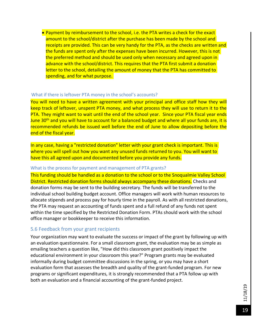• Payment by reimbursement to the school, i.e. the PTA writes a check for the exact amount to the school/district after the purchase has been made by the school and receipts are provided. This can be very handy for the PTA, as the checks are written and the funds are spent only after the expenses have been incurred. However, this is not the preferred method and should be used only when necessary and agreed upon in advance with the school/district. This requires that the PTA first submit a donation letter to the school, detailing the amount of money that the PTA has committed to spending, and for what purpose.

#### What if there is leftover PTA money in the school's accounts?

You will need to have a written agreement with your principal and office staff how they will keep track of leftover, unspent PTA money, and what process they will use to return it to the PTA. They might want to wait until the end of the school year. Since your PTA fiscal year ends June 30<sup>th</sup> and you will have to account for a balanced budget and where all your funds are, it is recommended refunds be issued well before the end of June to allow depositing before the end of the fiscal year.

In any case, having a "restricted donation" letter with your grant check is important. This is where you will spell out how you want any unused funds returned to you. You will want to have this all agreed upon and documented before you provide any funds.

#### What is the process for payment and management of PTA grants?

This funding should be handled as a donation to the school or to the Snoqualmie Valley School District. Restricted donation forms should always accompany these donations. Checks and donation forms may be sent to the building secretary. The funds will be transferred to the individual school building budget account. Office managers will work with human resources to allocate stipends and process pay for hourly time in the payroll. As with all restricted donations, the PTA may request an accounting of funds spent and a full refund of any funds not spent within the time specified by the Restricted Donation Form. PTAs should work with the school office manager or bookkeeper to receive this information.

#### <span id="page-18-0"></span>5.6 Feedback from your grant recipients

Your organization may want to evaluate the success or impact of the grant by following up with an evaluation questionnaire. For a small classroom grant, the evaluation may be as simple as emailing teachers a question like, "How did this classroom grant positively impact the educational environment in your classroom this year?" Program grants may be evaluated informally during budget committee discussions in the spring, or you may have a short evaluation form that assesses the breadth and quality of the grant-funded program. For new programs or significant expenditures, it is strongly recommended that a PTA follow up with both an evaluation and a financial accounting of the grant-funded project.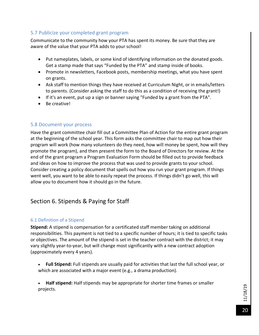#### <span id="page-19-0"></span>5.7 Publicize your completed grant program

Communicate to the community how your PTA has spent its money. Be sure that they are aware of the value that your PTA adds to your school!

- Put nameplates, labels, or some kind of identifying information on the donated goods. Get a stamp made that says "Funded by the PTA" and stamp inside of books.
- Promote in newsletters, Facebook posts, membership meetings, what you have spent on grants.
- Ask staff to mention things they have received at Curriculum Night, or in emails/letters to parents. (Consider asking the staff to do this as a condition of receiving the grant!)
- If it's an event, put up a sign or banner saying "Funded by a grant from the PTA".
- Be creative!

#### <span id="page-19-1"></span>5.8 Document your process

Have the grant committee chair fill out a Committee Plan of Action for the entire grant program at the beginning of the school year. This form asks the committee chair to map out how their program will work (how many volunteers do they need, how will money be spent, how will they promote the program), and then present the form to the Board of Directors for review. At the end of the grant program a Program Evaluation Form should be filled out to provide feedback and ideas on how to improve the process that was used to provide grants to your school. Consider creating a policy document that spells out how you run your grant program. If things went well, you want to be able to easily repeat the process. If things didn't go well, this will allow you to document how it should go in the future.

## <span id="page-19-2"></span>Section 6. Stipends & Paying for Staff

#### 6.1 Definition of a Stipend

**Stipend:** A stipend is compensation for a certificated staff member taking on additional responsibilities. This payment is not tied to a specific number of hours; it is tied to specific tasks or objectives. The amount of the stipend is set in the teacher contract with the district; it may vary slightly year-to-year, but will change most significantly with a new contract adoption (approximately every 4 years).

• **Full Stipend:** Full stipends are usually paid for activities that last the full school year, or which are associated with a major event (e.g., a drama production).

• **Half stipend:** Half stipends may be appropriate for shorter time frames or smaller projects.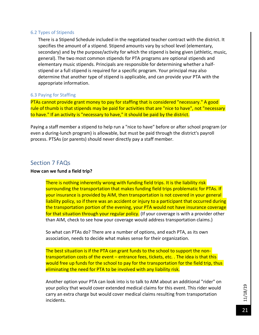#### 6.2 Types of Stipends

There is a Stipend Schedule included in the negotiated teacher contract with the district. It specifies the amount of a stipend. Stipend amounts vary by school level (elementary, secondary) and by the purpose/activity for which the stipend is being given (athletic, music, general). The two most common stipends for PTA programs are optional stipends and elementary music stipends. Principals are responsible for determining whether a halfstipend or a full stipend is required for a specific program. Your principal may also determine that another type of stipend is applicable, and can provide your PTA with the appropriate information.

#### 6.3 Paying for Staffing

PTAs cannot provide grant money to pay for staffing that is considered "necessary." A good rule of thumb is that stipends may be paid for activities that are "nice to have", not "necessary to have." If an activity is "necessary to have," it should be paid by the district.

Paying a staff member a stipend to help run a "nice to have" before or after school program (or even a during-lunch program) is allowable, but must be paid through the district's payroll process. PTSAs (or parents) should never directly pay a staff member.

#### <span id="page-20-0"></span>Section 7 FAQs

#### **How can we fund a field trip?**

There is nothing inherently wrong with funding field trips. It is the liability risk surrounding the transportation that makes funding field trips problematic for PTAs. If your insurance is provided by AIM, then transportation is not covered in your general liability policy, so if there was an accident or injury to a participant that occurred during the transportation portion of the evening, your PTA would not have insurance coverage for that situation through your regular policy. (If your coverage is with a provider other than AIM, check to see how your coverage would address transportation claims.)

So what can PTAs do? There are a number of options, and each PTA, as its own association, needs to decide what makes sense for their organization.

The best situation is if the PTA can grant funds to the school to support the nontransportation costs of the event – entrance fees, tickets, etc. . The idea is that this would free up funds for the school to pay for the transportation for the field trip, thus eliminating the need for PTA to be involved with any liability risk.

Another option your PTA can look into is to talk to AIM about an additional "rider" on your policy that would cover extended medical claims for this event. This rider would carry an extra charge but would cover medical claims resulting from transportation incidents.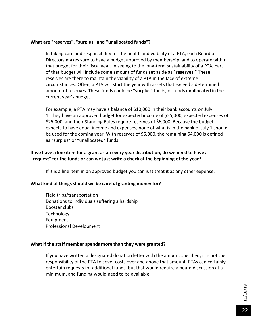#### **What are "reserves", "surplus" and "unallocated funds"?**

In taking care and responsibility for the health and viability of a PTA, each Board of Directors makes sure to have a budget approved by membership, and to operate within that budget for their fiscal year. In seeing to the long-term sustainability of a PTA, part of that budget will include some amount of funds set aside as "**reserves**." These reserves are there to maintain the viability of a PTA in the face of extreme circumstances. Often, a PTA will start the year with assets that exceed a determined amount of reserves. These funds could be **"surplus"** funds, or funds **unallocated** in the current year's budget.

For example, a PTA may have a balance of \$10,000 in their bank accounts on July 1. They have an approved budget for expected income of \$25,000, expected expenses of \$25,000, and their Standing Rules require reserves of \$6,000. Because the budget expects to have equal income and expenses, none of what is in the bank of July 1 should be used for the coming year. With reserves of \$6,000, the remaining \$4,000 is defined as "surplus" or "unallocated" funds.

#### **If we have a line item for a grant as an every year distribution, do we need to have a "request" for the funds or can we just write a check at the beginning of the year?**

If it is a line item in an approved budget you can just treat it as any other expense.

#### **What kind of things should we be careful granting money for?**

Field trips/transportation Donations to individuals suffering a hardship Booster clubs Technology Equipment Professional Development

#### **What if the staff member spends more than they were granted?**

If you have written a designated donation letter with the amount specified, it is not the responsibility of the PTA to cover costs over and above that amount. PTAs can certainly entertain requests for additional funds, but that would require a board discussion at a minimum, and funding would need to be available.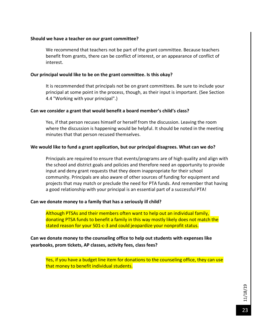#### **Should we have a teacher on our grant committee?**

We recommend that teachers not be part of the grant committee. Because teachers benefit from grants, there can be conflict of interest, or an appearance of conflict of interest.

#### **Our principal would like to be on the grant committee. Is this okay?**

It is recommended that principals not be on grant committees. Be sure to include your principal at some point in the process, though, as their input is important. (See Section 4.4 "Working with your principal".)

#### **Can we consider a grant that would benefit a board member's child's class?**

Yes, if that person recuses himself or herself from the discussion. Leaving the room where the discussion is happening would be helpful. It should be noted in the meeting minutes that that person recused themselves.

#### **We would like to fund a grant application, but our principal disagrees. What can we do?**

Principals are required to ensure that events/programs are of high quality and align with the school and district goals and policies and therefore need an opportunity to provide input and deny grant requests that they deem inappropriate for their school community. Principals are also aware of other sources of funding for equipment and projects that may match or preclude the need for PTA funds. And remember that having a good relationship with your principal is an essential part of a successful PTA!

#### **Can we donate money to a family that has a seriously ill child?**

Although PTSAs and their members often want to help out an individual family, donating PTSA funds to benefit a family in this way mostly likely does not match the stated reason for your 501-c-3 and could jeopardize your nonprofit status.

**Can we donate money to the counseling office to help out students with expenses like yearbooks, prom tickets, AP classes, activity fees, class fees?**

Yes, if you have a budget line item for donations to the counseling office, they can use that money to benefit individual students.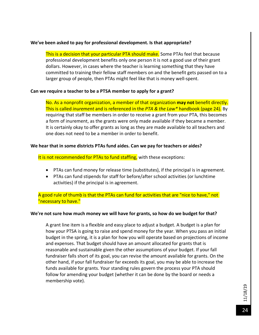#### **We've been asked to pay for professional development. Is that appropriate?**

This is a decision that your particular PTA should make. Some PTAs feel that because professional development benefits only one person it is not a good use of their grant dollars. However, in cases where the teacher is learning something that they have committed to training their fellow staff members on and the benefit gets passed on to a larger group of people, then PTAs might feel like that is money well-spent.

#### **Can we require a teacher to be a PTSA member to apply for a grant?**

No. As a nonprofit organization, a member of that organization **may not** benefit directly. This is called *inurement* and is referenced in the *PTA & the Law\** handbook (page 24). By requiring that staff be members in order to receive a grant from your PTA, this becomes a form of inurement, as the grants were only made available if they became a member. It is certainly okay to offer grants as long as they are made available to all teachers and one does not need to be a member in order to benefit.

#### **We hear that in some districts PTAs fund aides. Can we pay for teachers or aides?**

It is not recommended for PTAs to fund staffing, with these exceptions:

- PTAs can fund money for release time (substitutes), if the principal is in agreement.
- PTAs can fund stipends for staff for before/after school activities (or lunchtime activities) if the principal is in agreement.

A good rule of thumb is that the PTAs can fund for activities that are "nice to have," not "necessary to have."

#### **We're not sure how much money we will have for grants, so how do we budget for that?**

A grant line item is a flexible and easy place to adjust a budget. A budget is a plan for how your PTSA is going to raise and spend money for the year. When you pass an initial budget in the spring, it is a plan for how you will operate based on projections of income and expenses. That budget should have an amount allocated for grants that is reasonable and sustainable given the other assumptions of your budget. If your fall fundraiser falls short of its goal, you can revise the amount available for grants. On the other hand, if your fall fundraiser far exceeds its goal, you may be able to increase the funds available for grants. Your standing rules govern the process your PTA should follow for amending your budget (whether it can be done by the board or needs a membership vote).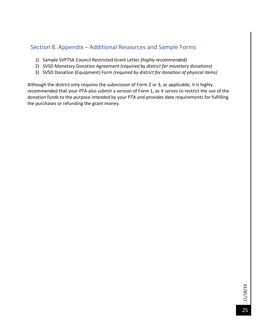## <span id="page-24-0"></span>Section 8. Appendix – Additional Resources and Sample Forms

- *1)* Sample SVPTSA Council Restricted Grant Letter *(highly recommended)*
- 2) SVSD Monetary Donation Agreement *(required by district for monetary donations)*
- 3) SVSD Donation (Equipment) Form *(required by district for donation of physical items)*

Although the district only requires the submission of Form 2 or 3, as applicable, it is highly recommended that your PTA also submit a version of Form 1, as it serves to restrict the use of the donation funds to the purpose intended by your PTA and provides date requirements for fulfilling the purchases or refunding the grant money.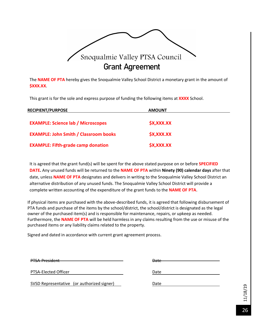

The **NAME OF PTA** hereby gives the Snoqualmie Valley School District a monetary grant in the amount of **\$XXX.XX**.

This grant is for the sole and express purpose of funding the following items at **XXXX** School.

| <b>RECIPIENT/PURPOSE</b>                     | <b>AMOUNT</b>     |  |
|----------------------------------------------|-------------------|--|
| <b>EXAMPLE: Science lab / Microscopes</b>    | \$X,XXX.XX        |  |
| <b>EXAMPLE: John Smith / Classroom books</b> | <b>\$X,XXX.XX</b> |  |
| <b>EXAMPLE: Fifth-grade camp donation</b>    | \$X,XXX.XX        |  |

It is agreed that the grant fund(s) will be spent for the above stated purpose on or before **SPECIFIED DATE.** Any unused funds will be returned to the **NAME OF PTA** within **Ninety (90) calendar days** after that date, unless **NAME OF PTA** designates and delivers in writing to the Snoqualmie Valley School District an alternative distribution of any unused funds. The Snoqualmie Valley School District will provide a complete written accounting of the expenditure of the grant funds to the **NAME OF PTA**.

If physical items are purchased with the above-described funds, it is agreed that following disbursement of PTA funds and purchase of the items by the school/district, the school/district is designated as the legal owner of the purchased item(s) and is responsible for maintenance, repairs, or upkeep as needed. Furthermore, the **NAME OF PTA** will be held harmless in any claims resulting from the use or misuse of the purchased items or any liability claims related to the property.

Signed and dated in accordance with current grant agreement process.

| PTSA-President                             | <del>Date</del> |
|--------------------------------------------|-----------------|
| PTSA-Elected Officer                       | Date            |
| SVSD Representative (or authorized signer) | Date            |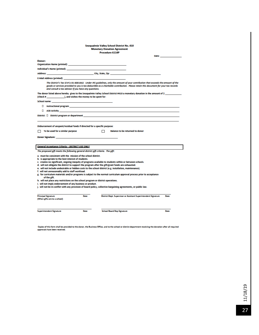|                                                                                                                                                                                                                                |      | <b>Snogualmie Valley School District No. 410</b><br><b>Monetary Donation Agreement</b>                                                                                                                                                                                 |      |
|--------------------------------------------------------------------------------------------------------------------------------------------------------------------------------------------------------------------------------|------|------------------------------------------------------------------------------------------------------------------------------------------------------------------------------------------------------------------------------------------------------------------------|------|
|                                                                                                                                                                                                                                |      | <b>Procedure 6114P</b>                                                                                                                                                                                                                                                 |      |
|                                                                                                                                                                                                                                |      | Date:                                                                                                                                                                                                                                                                  |      |
| Donor:                                                                                                                                                                                                                         |      |                                                                                                                                                                                                                                                                        |      |
| Organization Name (printed): Note that the state of the state of the state of the state of the state of the state of the state of the state of the state of the state of the state of the state of the state of the state of t |      |                                                                                                                                                                                                                                                                        |      |
| Individual's Name (printed):                                                                                                                                                                                                   |      |                                                                                                                                                                                                                                                                        |      |
| Address: City, State, Zip: 2014                                                                                                                                                                                                |      |                                                                                                                                                                                                                                                                        |      |
| <b>E-Mail Address (printed):</b>                                                                                                                                                                                               |      |                                                                                                                                                                                                                                                                        |      |
| and consult a tax advisor if you have any questions.                                                                                                                                                                           |      | The District's Tax ID # is 91-6001642. Under IRS quidelines, only the amount of your contribution that exceeds the amount of the<br>goods or services provided to you is tax deductible as a charitable contribution. Please retain this document for your tax records |      |
| (Check # ), and wishes the money to be spent for:                                                                                                                                                                              |      | The donor listed above hereby gives to the Snoqualmie Valley School District #410 a monetary donation in the amount of \$                                                                                                                                              |      |
| School name:                                                                                                                                                                                                                   |      |                                                                                                                                                                                                                                                                        |      |
|                                                                                                                                                                                                                                |      | Declinational program control of the control of the control of the control of the control of the control of the control of the control of the control of the control of the control of the control of the control of the contr                                         |      |
| o<br><b>ASB Activity</b>                                                                                                                                                                                                       |      |                                                                                                                                                                                                                                                                        |      |
|                                                                                                                                                                                                                                |      | District: 0 District program or department and the control of the control of the control of the control of the control of the control of the control of the control of the control of the control of the control of the contro                                         |      |
|                                                                                                                                                                                                                                |      |                                                                                                                                                                                                                                                                        |      |
| <b>Donor Signature:</b>                                                                                                                                                                                                        |      |                                                                                                                                                                                                                                                                        |      |
| <b>General Acceptance Criteria - DISTRICT USE ONLY</b>                                                                                                                                                                         |      |                                                                                                                                                                                                                                                                        |      |
| The proposed gift meets the following general district gift criteria. The gift:                                                                                                                                                |      |                                                                                                                                                                                                                                                                        |      |
| a. must be consistent with the mission of the school district.                                                                                                                                                                 |      |                                                                                                                                                                                                                                                                        |      |
| b. is appropriate to the best interest of students.                                                                                                                                                                            |      |                                                                                                                                                                                                                                                                        |      |
|                                                                                                                                                                                                                                |      | c. creates no significant, ongoing inequity of programs available to students within or between schools.<br>d. will not obligate the district to support the program after the gift/grant funds are exhausted.                                                         |      |
|                                                                                                                                                                                                                                |      | e. will not include undesirable or hidden costs to the school district (e.g. installation, maintenance).                                                                                                                                                               |      |
| f. will not unreasonably add to staff workload.                                                                                                                                                                                |      |                                                                                                                                                                                                                                                                        |      |
| of the gift.                                                                                                                                                                                                                   |      | g. for curriculum materials and/or programs is subject to the normal curriculum approval process prior to acceptance                                                                                                                                                   |      |
| h. will not place any restrictions on the school program or district operations.<br>i. will not imply endorsement of any business or product.                                                                                  |      |                                                                                                                                                                                                                                                                        |      |
|                                                                                                                                                                                                                                |      | j. will not be in conflict with any provision of board policy, collective bargaining agreements, or public law.                                                                                                                                                        |      |
|                                                                                                                                                                                                                                |      |                                                                                                                                                                                                                                                                        |      |
| <b>Principal Signature</b><br>(When gifts are to a school)                                                                                                                                                                     | Date | District Dept. Supervisor or Assistant Superintendent Signature                                                                                                                                                                                                        | Date |
| <b>Superintendent Signature</b>                                                                                                                                                                                                | Date | <b>School Board Rep Signature</b>                                                                                                                                                                                                                                      | Date |

Copies of this form shall be provided to the donor, the Business Office, and to the school or district department receiving the donation after all required<br>approvals have been received.